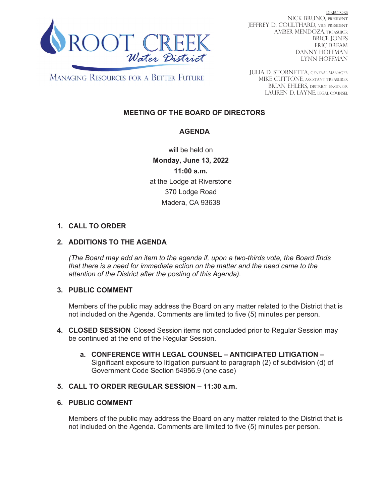

DIRECTORS NICK BRUNO, PRESIDENT JEFFREY D. COULTHARD, Vice President AMBER MENDOZA, TREASURER BRICE JONES ERIC BREAM DANNY HOFFMAN LYNN HOFFMAN

**MANAGING RESOURCES FOR A BETTER FUTURE** 

JULIA D. STORNETTA, GENERAL MANAGER MIKE CUTTONE, Assistant treasurer BRIAN EHLERS, DISTRICT ENGINEER LAUREN D. LAYNE, LEGAL COUNSEL

# **MEETING OF THE BOARD OF DIRECTORS**

## **AGENDA**

will be held on **Monday, June 13, 2022 11:00 a.m.** at the Lodge at Riverstone 370 Lodge Road Madera, CA 93638

## **1. CALL TO ORDER**

### **2. ADDITIONS TO THE AGENDA**

*(The Board may add an item to the agenda if, upon a two-thirds vote, the Board finds that there is a need for immediate action on the matter and the need came to the attention of the District after the posting of this Agenda).*

### **3. PUBLIC COMMENT**

Members of the public may address the Board on any matter related to the District that is not included on the Agenda. Comments are limited to five (5) minutes per person.

- **4. CLOSED SESSION** Closed Session items not concluded prior to Regular Session may be continued at the end of the Regular Session.
	- **a. CONFERENCE WITH LEGAL COUNSEL ANTICIPATED LITIGATION –** Significant exposure to litigation pursuant to paragraph (2) of subdivision (d) of Government Code Section 54956.9 (one case)

### **5. CALL TO ORDER REGULAR SESSION – 11:30 a.m.**

### **6. PUBLIC COMMENT**

Members of the public may address the Board on any matter related to the District that is not included on the Agenda. Comments are limited to five (5) minutes per person.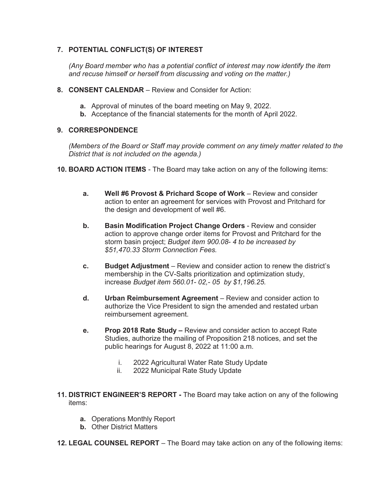### **7. POTENTIAL CONFLICT(S) OF INTEREST**

*(Any Board member who has a potential conflict of interest may now identify the item and recuse himself or herself from discussing and voting on the matter.)* 

- **8. CONSENT CALENDAR**  Review and Consider for Action:
	- **a.** Approval of minutes of the board meeting on May 9, 2022.
	- **b.** Acceptance of the financial statements for the month of April 2022.

#### **9. CORRESPONDENCE**

*(Members of the Board or Staff may provide comment on any timely matter related to the District that is not included on the agenda.)* 

- **10. BOARD ACTION ITEMS**  The Board may take action on any of the following items:
	- **a. Well #6 Provost & Prichard Scope of Work** Review and consider action to enter an agreement for services with Provost and Pritchard for the design and development of well #6.
	- **b.** Basin Modification Project Change Orders Review and consider action to approve change order items for Provost and Pritchard for the storm basin project; *Budget item 900.08- 4 to be increased by \$51,470.33 Storm Connection Fees.*
	- **c. Budget Adjustment**  Review and consider action to renew the district's membership in the CV-Salts prioritization and optimization study, increase *Budget item 560.01- 02,- 05 by \$1,196.25.*
	- **d. Urban Reimbursement Agreement** Review and consider action to authorize the Vice President to sign the amended and restated urban reimbursement agreement.
	- **e. Prop 2018 Rate Study** Review and consider action to accept Rate Studies, authorize the mailing of Proposition 218 notices, and set the public hearings for August 8, 2022 at 11:00 a.m.
		- i. 2022 Agricultural Water Rate Study Update
		- ii. 2022 Municipal Rate Study Update
- **11. DISTRICT ENGINEER'S REPORT** The Board may take action on any of the following items:
	- **a.** Operations Monthly Report
	- **b.** Other District Matters
- **12. LEGAL COUNSEL REPORT** The Board may take action on any of the following items: